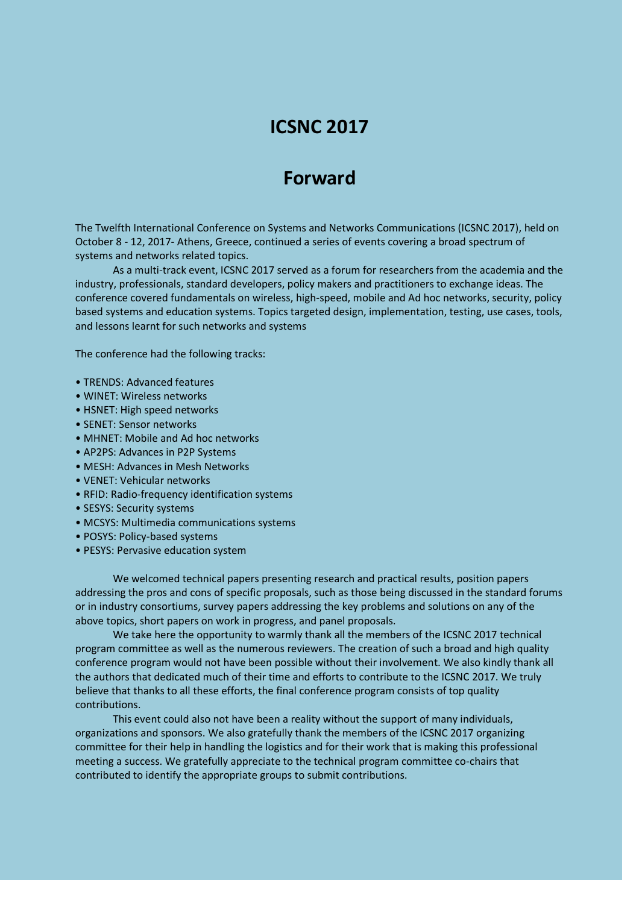## **ICSNC 2017**

## **Forward**

The Twelfth International Conference on Systems and Networks Communications (ICSNC 2017), held on October 8 - 12, 2017- Athens, Greece, continued a series of events covering a broad spectrum of systems and networks related topics.

As a multi-track event, ICSNC 2017 served as a forum for researchers from the academia and the industry, professionals, standard developers, policy makers and practitioners to exchange ideas. The conference covered fundamentals on wireless, high-speed, mobile and Ad hoc networks, security, policy based systems and education systems. Topics targeted design, implementation, testing, use cases, tools, and lessons learnt for such networks and systems

The conference had the following tracks:

- TRENDS: Advanced features
- WINET: Wireless networks
- HSNET: High speed networks
- SENET: Sensor networks
- MHNET: Mobile and Ad hoc networks
- AP2PS: Advances in P2P Systems
- MESH: Advances in Mesh Networks
- VENET: Vehicular networks
- RFID: Radio-frequency identification systems
- SESYS: Security systems
- MCSYS: Multimedia communications systems
- POSYS: Policy-based systems
- PESYS: Pervasive education system

We welcomed technical papers presenting research and practical results, position papers addressing the pros and cons of specific proposals, such as those being discussed in the standard forums or in industry consortiums, survey papers addressing the key problems and solutions on any of the above topics, short papers on work in progress, and panel proposals.

We take here the opportunity to warmly thank all the members of the ICSNC 2017 technical program committee as well as the numerous reviewers. The creation of such a broad and high quality conference program would not have been possible without their involvement. We also kindly thank all the authors that dedicated much of their time and efforts to contribute to the ICSNC 2017. We truly believe that thanks to all these efforts, the final conference program consists of top quality contributions.

This event could also not have been a reality without the support of many individuals, organizations and sponsors. We also gratefully thank the members of the ICSNC 2017 organizing committee for their help in handling the logistics and for their work that is making this professional meeting a success. We gratefully appreciate to the technical program committee co-chairs that contributed to identify the appropriate groups to submit contributions.